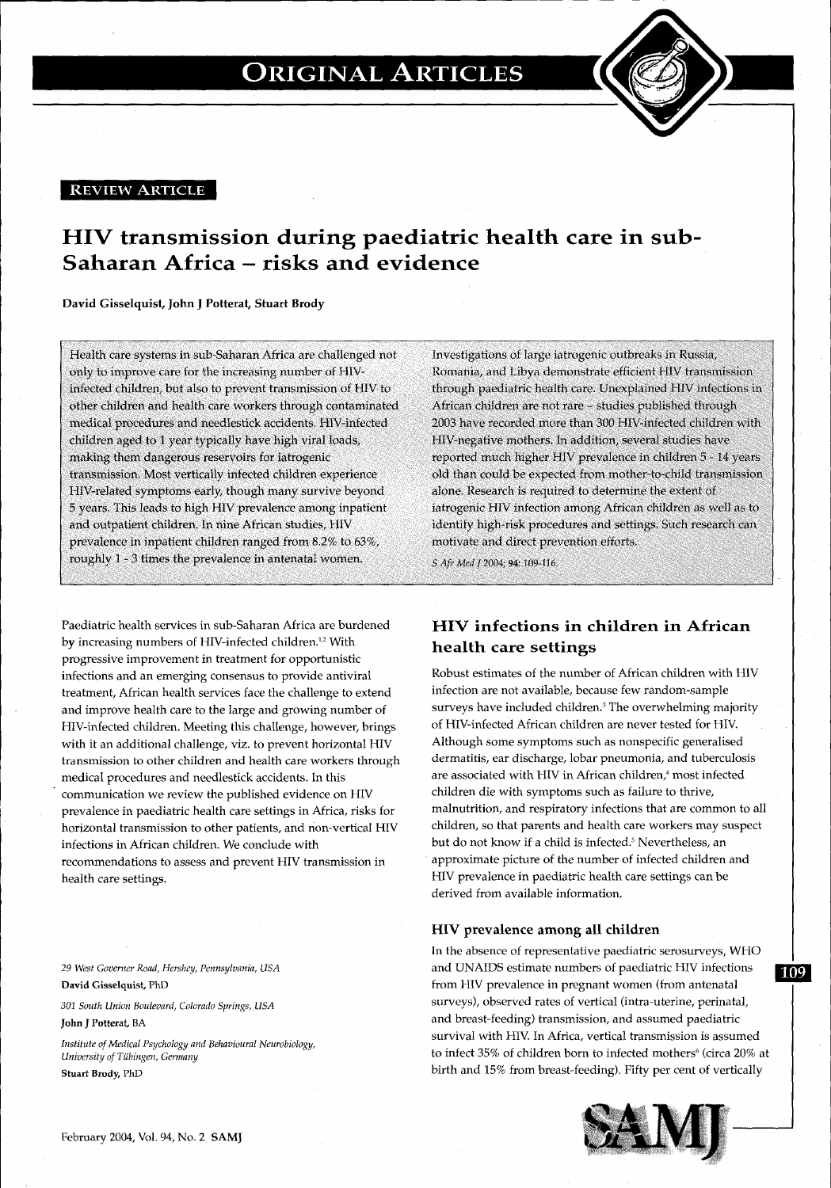#### **REVIEW ARTICLE**

### **HIV transmission during paediatric health care in sub-Saharan Africa - risks and evidence**

**David Gisselquist, John J Potterat, Stuart Brody** 

Health care systems in sub-Saharan Africa are challenged not only to improve care for the increasing number of HIVinfected children, but also to prevent transmission of HIV to other children and health care workers through contaminated medical procedures and needlestick accidents. HIV-infected children aged to 1 year typically have high viral loads, making them dangerous reservoirs for iatrogenic transmission. Most vertically infected children experience HIV-related symptoms early, though many survive beyond 5 years. This leads to high HIV prevalence among inpatient and outpatient children. In nine African studies, HIV prevalence in inpatient children ranged from 8.2% to 63%, roughly 1 - 3 times the prevalence in antenatal women.

Paediatric health services in sub-Saharan Africa are burdened by increasing numbers of HIV-infected children.<sup>1,2</sup> With progressive improvement in treatment for opportunistic infections and an emerging consensus to provide antiviral treatment, African health services face the challenge to extend and improve health care to the large and growing number of HIV-infected children. Meeting this challenge, however, brings with it an additional challenge, viz. to prevent horizontal HIV transmission to other children and health care workers through medical procedures and needlestick accidents. In this communication we review the published evidence on HIV prevalence in paediatric health care settings in Africa, risks for horizontal transmission to other patients, and non-vertical HIV infections in African children. We conclude with recommendations to assess and prevent HIV transmission in health care settings.

29 *West Governer Road, Hershey, Pennsylvania, USA*  David Gisselquist, PhD

*301 South Union Boulevard, Colorado Springs, USA* 

**John J** Potterat, BA

*Institute of Medical Psychology and Behavioural Neurobiology, University of Tubingen, Germany*  Stuart Brody, PhD

Investigations of large iatrogenic outbreaks in Russia, Romania, and Libya demonstrate efficient HIV transmission through paediatric health care. Unexplained HIV infections in African children are not rare - studies published through 2003 have recorded more than 300 HIV-infected children with HIV-negative mothers. In addition, several studies have reported much higher HIV prevalence in children 5 - 14 years old than could be expected from mother-to-child transmission alone. Research is required to determine the extent of iatrogenic HIV infection among African children as well as to identify high-risk procedures and settings. Such research can motivate and direct prevention efforts.

*SAfr Med* J 2004; 94: 109-116.

### **HIV infections in children in African health care settings**

Robust estimates of the number of African children with HIV infection are not available, because few random-sample surveys have included children.<sup>3</sup> The overwhelming majority of HIV-infected African children are never tested for HIV. Although some symptoms such as nonspecific generalised dermatitis, ear discharge, lobar pneumonia, and tuberculosis are associated with HIV in African children,<sup>4</sup> most infected children die with symptoms such as failure to thrive, malnutrition, and respiratory infections that are common to all children, so that parents and health care workers may suspect but do not know if a child is infected.' Nevertheless, an approximate picture of the number of infected children and HIV prevalence in paediatric health care settings can be derived from available information.

#### **HIV prevalence among all children**

In the absence of representative paediatric serosurveys, WHO and UNAIDS estimate numbers of paediatric HIV infections 109 from HIV prevalence in pregnant women (from antenatal surveys), observed rates of vertical (intra-uterine, perinatal, and breast-feeding) transmission, and assumed paediatric survival with HIV. In Africa, vertical transmission is assumed to infect 35% of children born to infected mothers' (circa 20% at birth and 15% from breast-feeding). Fifty per cent of vertically

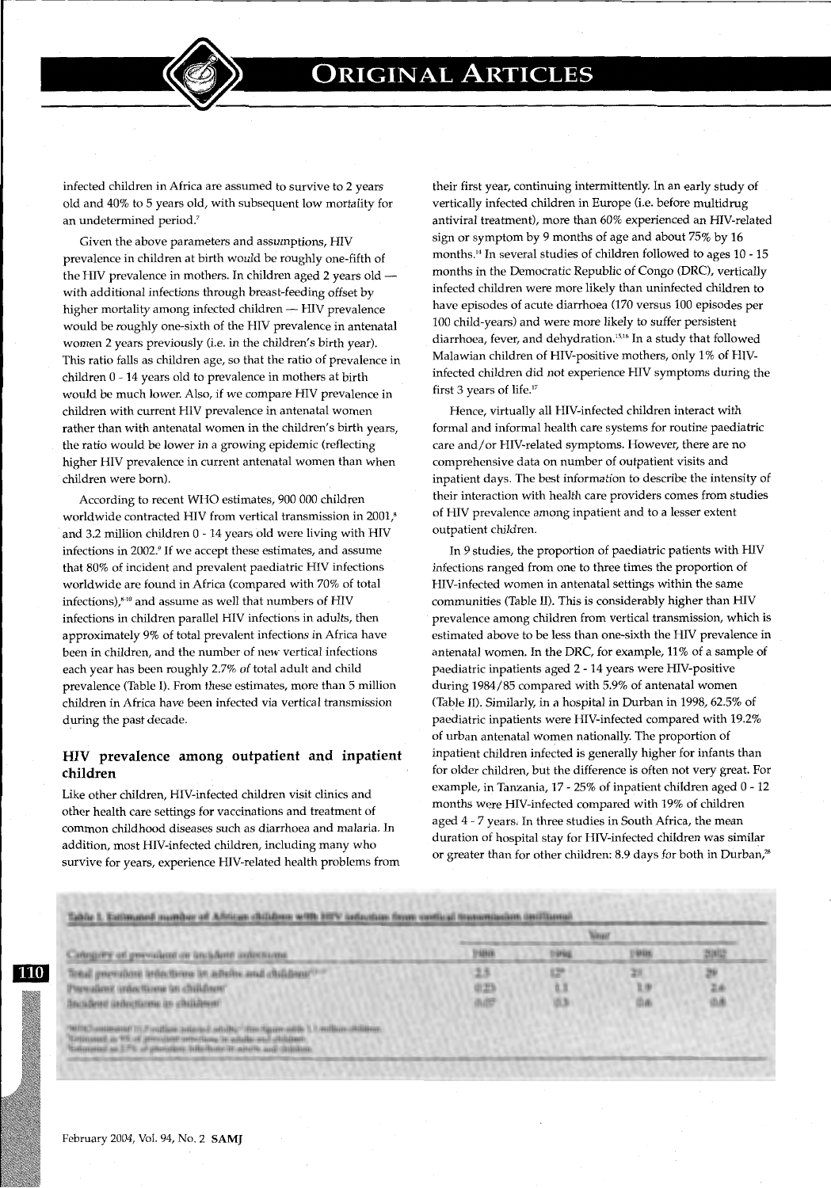

infected children in Africa are assumed to survive to 2 years old and 40% to 5 years old, with subsequent low mortality for an undetermined period.<sup>7</sup>

Given the above parameters and assumptions, HIV prevalence in children at birth would be roughly one-fifth of the HIV prevalence in mothers. In children aged 2 years old with additional infections through breast-feeding offset by higher mortality among infected children -- HIV prevalence would be roughly one-sixth of the HIV prevalence in antenatal women 2 years previously (i.e. in the children's birth year). This ratio falls as children age, so that the ratio of prevalence in children 0- 14 years old to prevalence in mothers at birth would be much lower. Also, if we compare HIV prevalence in children with current HIV prevalence in antenatal women rather than with antenatal women in the children's birth years, the ratio would be lower in a growing epidemic (reflecting higher HIV prevalence in current antenatal women than when children were born).

According to recent WHO estimates, 900 000 children worldwide contracted HIV from vertical transmission in 2001,<sup>8</sup> and 3.2 million children 0 - 14 years old were living with HIV infections in 2002.<sup>9</sup> If we accept these estimates, and assume that 80% of incident and prevalent paediatric HIV infections worldwide are found in Africa (compared with 70% of total infections), $840$  and assume as well that numbers of HIV infections in children parallel HIV infections in adults, then approximately 9% of total prevalent infections in Africa have been in children, and the number of new vertical infections each year has been roughly 2.7% of total adult and child prevalence (Table I). From these estimates, more than 5 million children in Africa have been infected via vertical transmission during the past decade.

#### **HIV prevalence among outpatient and inpatient children**

Like other children, HIV-infected children visit clinics and other health care settings for vaccinations and treatment of common childhood diseases such as diarrhoea and malaria. In addition, most HIV-infected children, including many who survive for years, experience HIV-related health problems from their first year, continuing intermittently. In an early study of vertically infected children in Europe (i.e. before multidrug antiviral treatment), more than 60% experienced an HIV-related sign or symptom by 9 months of age and about 75% by 16 months.14 In several studies of children followed to ages 10 - 15 months in the Democratic Republic of Congo (DRC), vertically infected children were more likely than uninfected children to have episodes of acute diarrhoea (170 versus 100 episodes per 100 child-years) and were more likely to suffer persistent diarrhoea, fever, and dehydration. 15' 16 In a study that followed Malawian children of HIV-positive mothers, only 1% of HIVinfected children did not experience HIV symptoms during the first 3 years of life.<sup>17</sup>

Hence, virtually all HIV-infected children interact with formal and informal health care systems for routine paediatric care and/or HIV-related symptoms. However, there are no comprehensive data on number of outpatient visits and inpatient days. The best information to describe the intensity of their interaction with health care providers comes from studies of HIV prevalence among inpatient and to a lesser extent outpatient children.

In 9 studies, the proportion of paediatric patients with HIV infections ranged from one to three times the proportion of HIV-infected women in antenatal settings within the same communities (Table II). This is considerably higher than HIV prevalence among children from vertical transmission, which is estimated above to be less than one-sixth the HIV prevalence in antenatal women. In the DRC, for example, 11% of a sample of paediatric inpatients aged 2- 14 years were HIV-positive during 1984/85 compared with 5.9% of antenatal women (Table II). Similarly, in a hospital in Durban in 1998, 62.5% of paediatric inpatients were HIV-infected compared with 19.2% of urban antenatal Women nationally. The proportion of inpatient children infected is generally higher for infants than for older children, but the difference is often not very great. For example, in Tanzania, 17- 25% of inpatient children aged 0- 12 months were HIV-infected compared with 19% of children aged 4 - 7 years; In three studies in South Africa, the mean duration of hospital stay for HIV-infected children was similar or greater than for other children: 8.9 days for both in Durban,"

|                                                                                                                                                                                                                              | <b>Winner</b>        |                 |                             |                 |
|------------------------------------------------------------------------------------------------------------------------------------------------------------------------------------------------------------------------------|----------------------|-----------------|-----------------------------|-----------------|
| Canopary of previount or incident infections.                                                                                                                                                                                | 29899                | 1994            | (9888)                      | 2002            |
| Tetal psychool interbook in adults and children!"<br>Plerendoren under Rome im childrem"<br>Bactificent undertheme in childrent'                                                                                             | 2.5<br>0.23<br>(MBT) | 129<br>u<br>0.3 | 28<br>$2.9^{\circ}$<br>(ba) | 29<br>2.6<br>山南 |
| MPL Tundam and the result of the first set of the factor of the contact of historic pro-<br>Cetimousl in Whist president unterlane in while and diddent-<br>balanated as 17% of provident bills have it with he and didning. |                      |                 |                             |                 |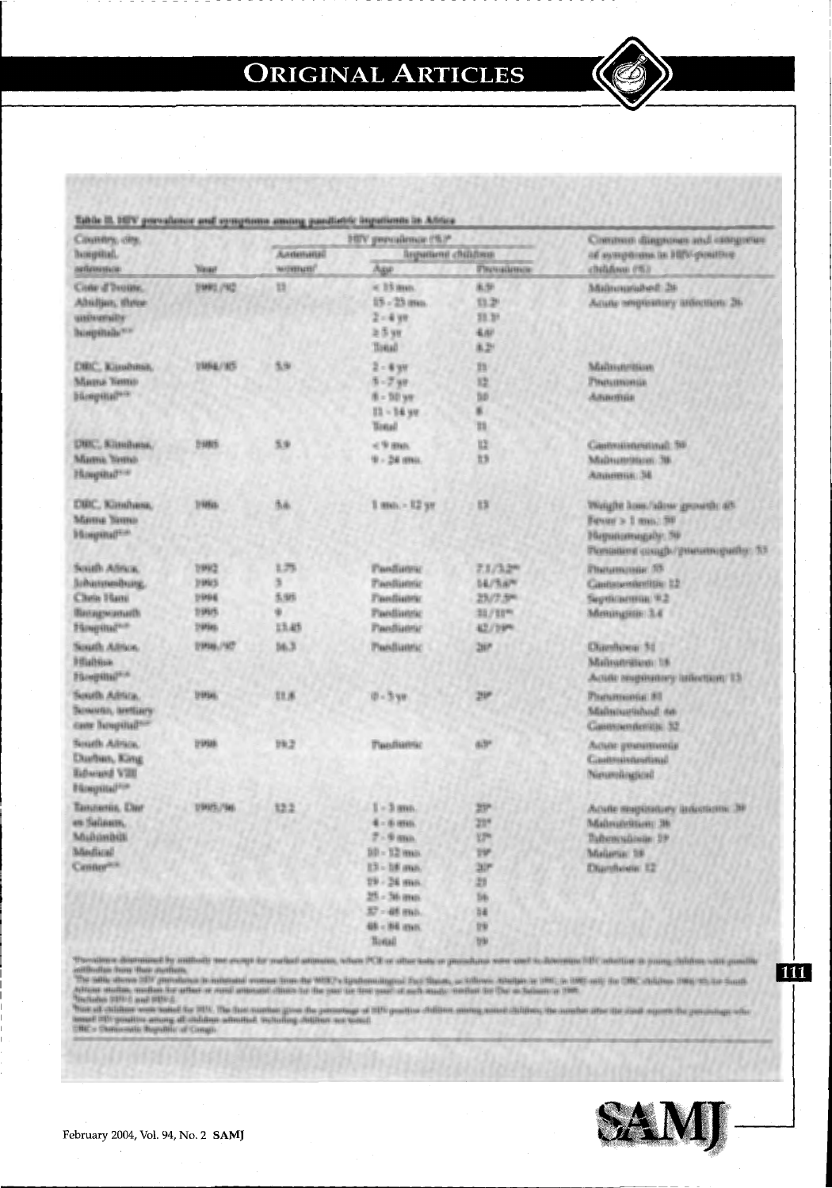

| Country, ony.                                                                                       |                                                                 |                                         | HITV prevailence (%)*                                                                                                                           |                                                                       | Common diagnoses and categories                                                                               |
|-----------------------------------------------------------------------------------------------------|-----------------------------------------------------------------|-----------------------------------------|-------------------------------------------------------------------------------------------------------------------------------------------------|-----------------------------------------------------------------------|---------------------------------------------------------------------------------------------------------------|
| hooptial.                                                                                           |                                                                 | Алтинина<br><b>Brewttered childrens</b> |                                                                                                                                                 | об из тербовна (в). НЕV-раватие                                       |                                                                                                               |
| automatica.                                                                                         | <b>Yasar</b>                                                    | WEIGHTACES?                             | <b>Age</b>                                                                                                                                      | <b><i><u>Рисчийствие</u></i></b>                                      | childown (%)                                                                                                  |
| Cone d'Ivouse.<br>Absiliars, three<br>unnoversity<br>hopitals <sup>wa</sup>                         | 21092./922                                                      | 臸                                       | or 19 learn.<br>15 - 25 mm.<br>$2 - 4$ yr<br>2.5 <sub>W</sub><br>Total                                                                          | 东炉<br>13.29<br>33.31<br>長田<br>8.21                                    | ให้เม็กเหมย์เล็นเติ 26<br>Асыве венрованну анастить 26-                                                       |
| DRIC, Kinshma,<br>Marra Yamu<br><b>Hospital<sup>94</sup></b>                                        | <b>VANAL/KS</b>                                                 | 5.9/                                    | $2 - 8$ 9H<br>$5 - 749$<br>$8 - 20$ ye<br>$22 - 34$ ye<br><b>Tonal</b>                                                                          | m<br>陸<br>bo<br>m                                                     | Malmonnism<br>Procurromin<br>Annonia                                                                          |
| <b>DWC, Клиение,</b><br>Manua Yama<br>Hougittal?                                                    | <b>DIMITS</b>                                                   | 5.9                                     | < 9 mm<br>$9 - 24$ mus.                                                                                                                         | 12<br>15                                                              | Cautostonestinal: 50<br>Майнавейков: 38<br>Алинени. 34                                                        |
| ОВС, Кандина.<br>Marrie Tarmo<br><b>Mangenattion</b>                                                | 1986a.                                                          | 范南                                      | $1$ mm $-12$ yr                                                                                                                                 | 13                                                                    | Weight hour/allow growth: 45<br>Fever > 1 mm; 98<br>Наридаянадабу: 39<br>Романия ознар/уничен-рибу: 53        |
| South Africa.<br>Байналимийнинд.<br>Chela Hani<br><b>Пантицумскеты</b> @h<br>Hospital <sup>na</sup> | <b>DIRECT</b><br><b>DIMES</b><br><b>DIREK</b><br>2995.<br>299as | 1.75<br>东街<br>13.45                     | <b><i><u>Равлияни</u></i></b><br><b>Tandisenic</b><br><b>Finediators:</b><br>Pandiannic<br>Pandiateur                                           | 7.1/3.2 <sup>m</sup><br><b>SE/RAM</b><br>29/7.5%<br>21/10m<br>42/1994 | Пылинонак Л5<br>Castistenskriftje 12<br>Septimental 9.2<br>Менандий: 3.4                                      |
| South Antice.<br><b>Highina</b><br>Plicepills (Print)                                               | THAN / NT                                                       | 16.3                                    | Pardiamic                                                                                                                                       | 267                                                                   | Diamhoea: 51<br>Mailmateilian 18<br>Action responsively infection( 13                                         |
| Sexeth Adrica.<br>Tainautan, lawitiary<br>cane houpital?                                            | <b>USHAN</b>                                                    | 豆豆原                                     | $0 - 5 - 90$                                                                                                                                    | 295                                                                   | Радинения ВТ<br>ให้เล่นเนยนิเกินนั้ กิด<br>Санимаемиетазы 32                                                  |
| South Albias,<br>Ошбил, Капд<br><b>Edward VIII</b><br><b>Bilosopillal<sup>2000</sup></b>            | <b>PRIME</b>                                                    | 99.2                                    | <b><i>Plandianna</i></b>                                                                                                                        | di3*                                                                  | Латыке упченятичные<br>Castounnestinal<br>Nimmingkod                                                          |
| Tanznania, Dar<br>en Salassen.<br>Multimbilli<br><b>Mediani</b><br>Center <sup>201</sup>            | 1/943/5./5as.                                                   | 12.2                                    | $I = 3$ ann.<br>$4 - 8$ mm.<br>$7 - 9$ mm<br>$50 - 12$ mas.<br>13 - 18 may<br>19 - 24 min.<br>$25 - 56$ mm<br>37 - 48 mil.<br>448 - 1648 vesser | 27<br>239<br><b>VP</b><br>w<br>$20^{\circ}$<br>21<br>56<br>14<br>1949 | Acute mapissivey intentions: 39<br>MalmateRtien: 36<br>Пайконскальная 29.<br>Malama: 58<br><b>Обатбини</b> 12 |

79

Total

Throatiens discrement by authority too every for realised attitutes, when PCE or other tods or president were used to discrepan hBC adultion in young delates with panel<br>authorities from their personnels in interest from th

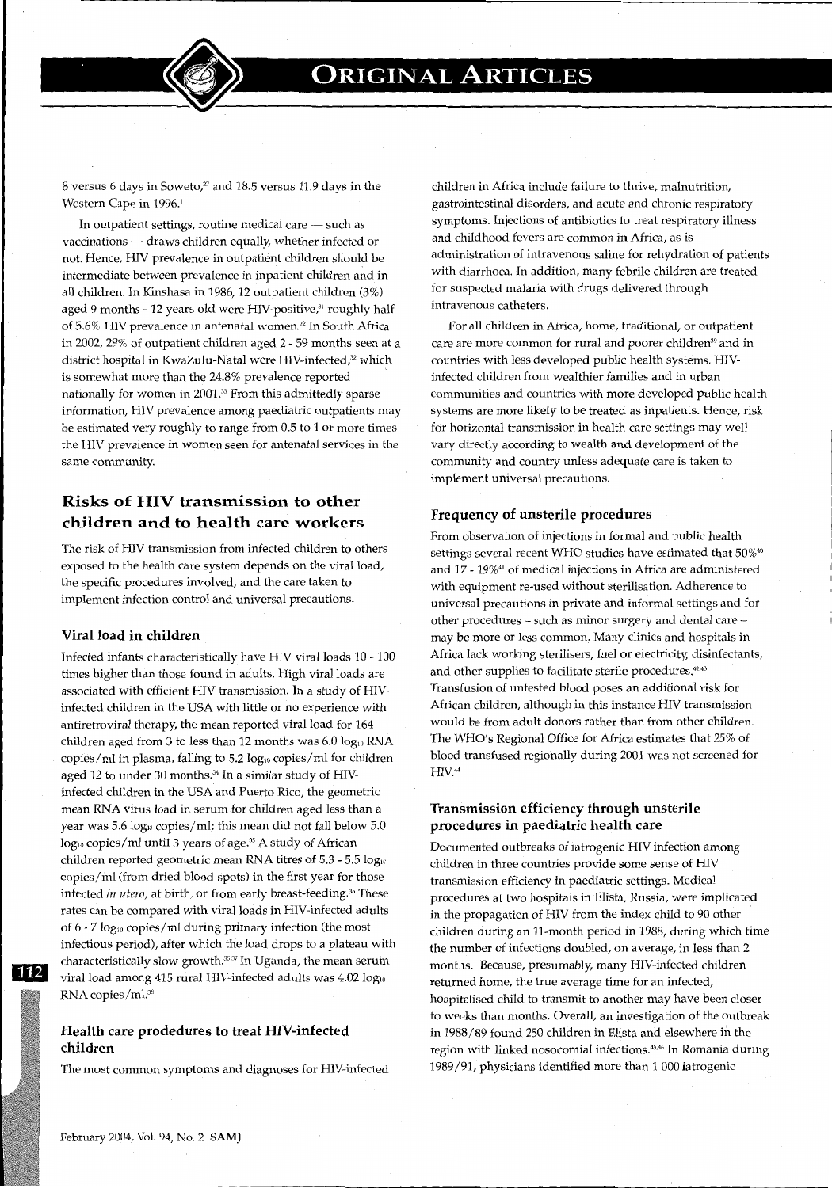8 versus 6 days in Soweto, $v$  and 18.5 versus 11.9 days in the Western Cape in 1996.<sup>1</sup>

In outpatient settings, routine medical care - such as vaccinations - draws children equally, whether infected or not. Hence, HIV prevalence in outpatient children should be intermediate between prevalence in inpatient children and in all children. In Kinshasa in 1986, 12 outpatient children (3%) aged 9 months - 12 years old were HIV-positive,<sup>31</sup> roughly half of 5.6% HIV prevalence in antenatal women.<sup>22</sup> In South Africa in 2002, 29% of outpatient children aged 2 - 59 months seen at a district hospital in KwaZulu-Natal were HIV-infected,<sup>32</sup> which is somewhat more than the 24.8% prevalence reported nationally for women in 2001.33 From this admittedly sparse information, HIV prevalence among paediatric outpatients may be estimated very roughly to range from 0.5 to 1 or more times the HIV prevalence in women seen for antenatal services in the same community.

### **Risks of HIV transmission to other children and to health care workers**

The risk of HIV transmission from infected children to others exposed to the health care system depends on the viral load, the specific procedures involved, and the care taken to implement infection control and universal precautions.

#### **Viral load in children**

Infected infants characteristically have HIV viral loads 10- 100 times higher than those found in adults. High viral loads are associated with efficient HIV transmission. In a study of HIVinfected children in the USA with little or no experience with antiretroviral therapy, the mean reported viral load for 164 children aged from 3 to less than 12 months was  $6.0 \text{ log}_{10}$  RNA copies/ml in plasma, falling to 5.2 log10 copies/ml for children aged 12 to under 30 months.<sup>34</sup> In a similar study of HIVinfected children in the USA and Puerto Rico, the geometric mean RNA virus load in serum for children aged less than a year was  $5.6 \log_{10}$  copies/ml; this mean did not fall below  $5.0$ log<sub>10</sub> copies/ml until 3 years of age.<sup>35</sup> A study of African children reported geometric mean RNA titres of  $5.3$  -  $5.5 \text{ log}_{10}$ copies/ml (from dried blood spots) in the first year for those infected *in utero*, at birth, or from early breast-feeding.<sup>36</sup> These rates can be compared with viral loads in HIV-infected adults of 6 - 7 log<sub>10</sub> copies/ml during primary infection (the most infectious period), after which the load drops to a plateau with characteristically slow growth.<sup>35,37</sup> In Uganda, the mean serum viral load among 415 rural HIV-infected adults was 4.02 logw RNAcopies/ml.38

#### **Health care prodedures to treat HIV-infected children**

The most common symptoms and diagnoses for HIV-infected

children in Africa include failure to thrive, malnutrition, gastrointestinal disorders, and acute and chronic respiratory symptoms. Injections of antibiotics to treat respiratory illness and childhood fevers are common in Africa, as is administration of intravenous saline for rehydration of patients with diarrhoea. In addition, many febrile children are treated for suspected malaria with drugs delivered through intravenous catheters.

For all children in Africa, home, traditional, or outpatient care are more common for rural and poorer children<sup>39</sup> and in countries with less developed public health systems. HIVinfected children from wealthier families and in urban communities and countries with more developed public health systems are more likely to be treated as inpatients. Hence, risk for horizontal transmission in health care settings may well vary directly according to wealth and development of the community and country unless adequate care is taken to implement universal precautions.

#### **Frequency of unsterile procedures**

From observation of injections in formal and public health settings several recent WHO studies have estimated that 50%<sup>®</sup> and 17 - 19%<sup>41</sup> of medical injections in Africa are administered with equipment re-used without sterilisation. Adherence to universal precautions in private and informal settings and for other procedures - such as minor surgery and dental care may be more or less common, Many clinics and hospitals in Africa lack working sterilisers, fuel or electricity, disinfectants, and other supplies to facilitate sterile procedures.<sup>42,43</sup> Transfusion of untested blood poses an additional risk for African children, although in this instance HIV transmission would be from adult donors rather than from other children. The WHO's Regional Office for Africa estimates that 25% of blood transfused regionally during 2001 was not screened for HIV.<sup>44</sup>

#### **Transmission efficiency through unsterile procedures in paediatric health care**

Documented outbreaks of iatrogenic HIV infection among children in three countries provide some sense of HIV transmission efficiency in paediatric settings. Medical procedures at two hospitals in Elista, Russia, were implicated in the propagation of HIV from the index child to 90 other children during an 11-month period in 1988, during which time the number of infections doubled, on average, in less than 2 months. Because, presumably, many HIV-infected children returned home, the true average time for an infected, hospitalised child to transmit to another may have been closer to weeks than months. Overall, an investigation of the outbreak in 1988/89 found 250 children in Elista and elsewhere in the region with linked nosocomial infections.<sup>45,46</sup> In Romania during 1989/91, physicians identified more than 1 000 iatrogenic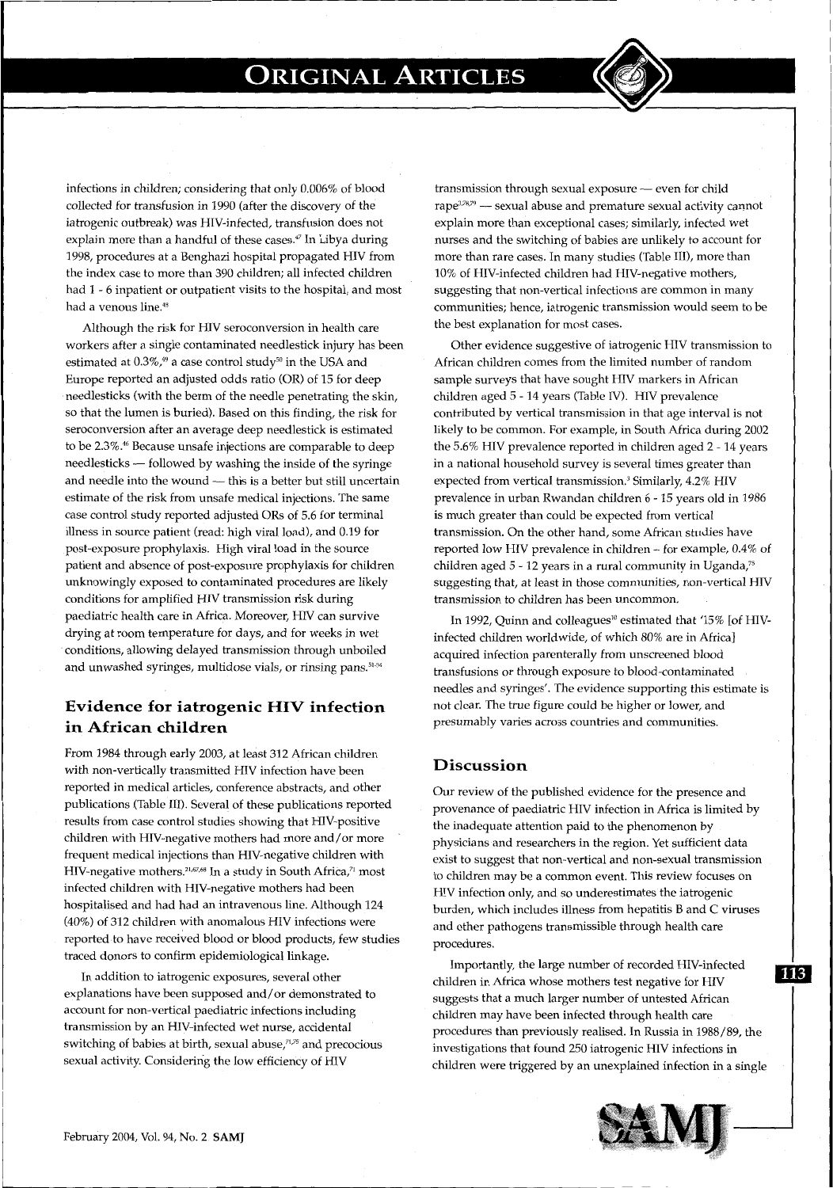infections in children; considering that only 0.006% of blood collected for transfusion in 1990 (after the discovery of the iatrogenic outbreak) was HIV-infected, transfusion does not explain more than a handful of these cases." In Libya during 1998, procedures at a Benghazi hospital propagated HIV from the index case to more than 390 children; all infected children had 1 - 6 inpatient or outpatient visits to the hospital, and most had a venous line.<sup>48</sup>

Although the risk for HIV seroconversion in health care workers after a single contaminated needlestick injury has been estimated at  $0.3\%$ ,<sup>49</sup> a case control study<sup>50</sup> in the USA and Europe reported an adjusted odds ratio (OR) of 15 for deep needlesticks (with the berm of the needle penetrating the skin, so that the lumen is buried). Based on this finding, the risk for seroconversion after an average deep needlestick is estimated to be 2.3%.<sup>46</sup> Because unsafe injections are comparable to deep needlesticks - followed by washing the inside of the syringe and needle into the wound  $-$  this is a better but still uncertain estimate of the risk from unsafe medical injections. The same case control study reported adjusted ORs of 5.6 for terminal illness in source patient (read: high viral load), and 0.19 for post-exposure prophylaxis. High viral load in the source patient and absence of post-exposure prophylaxis for children unknowingly exposed to contaminated procedures are likely conditions for amplified HIV transmission risk during paediatric health care in Africa. Moreover, HIV can survive drying at room temperature for days, and for weeks in wet conditions, allowing delayed transmission through unboiled and unwashed syringes, multidose vials, or rinsing pans.<sup>51.54</sup>

### **Evidence for iatrogenic HIV infection in African children**

From 1984 through early 2003, at least 312 African children with non-vertically transmitted HIV infection have been reported in medical articles, conference abstracts, and other publications (Table Ill). Several of these publications reported results from case control studies showing that HIV-positive children with HIV-negative mothers had more and/or more frequent medical injections than HIV-negative children with HIV-negative mothers.<sup>21,67,68</sup> In a study in South Africa,<sup>71</sup> most infected children with HIV-negative mothers had been hospitalised and had had an intravenous line. Although 124 (40%) of 312 children with anomalous HIV infections were reported to have received blood or blood products, few studies traced donors to confirm epidemiological linkage.

In addition to iatrogenic exposures, several other explanations have been supposed and/ or demonstrated to account for non-vertical paediatric infections including transmission by an HIV-infected wet nurse, accidental switching of babies at birth, sexual abuse,<sup>71,75</sup> and precocious sexual activity. Considering the low efficiency of HIV

 $transmission through sexual exposure \text{---} even for child$ rape<sup>3,78,79</sup> — sexual abuse and premature sexual activity cannot explain more than exceptional cases; similarly, infected wet nurses and the switching of babies are unlikely to account for more than rare cases. In many studies (Table Ill), more than 10% of HIV-infected children had HIV-negative mothers, suggesting that non-vertical infections are common in many communities; hence, iatrogenic transmission would seem to be the best explanation for most cases.

Other evidence suggestive of iatrogenic HIV transmission to African children comes from the limited number of random sample surveys that have sought HIV markers in African children aged 5- 14 years (Table IV). HIV prevalence contributed by vertical transmission in that age interval is not likely to be common. For example, in South Africa during 2002 the 5.6% HIV prevalence reported in children aged 2- 14 years in a national household survey is several times greater than expected from vertical transmission.<sup>3</sup> Similarly, 4.2% HIV prevalence in urban Rwandan children 6 - 15 years old in 1986 is much greater than could be expected from vertical transmission. On the other hand, some African studies have reported low HIV prevalence in children- for example, 0.4% of children aged 5- 12 years in a rural community in Uganda," suggesting that, at least in those communities, non-vertical HIV transmission to children has been uncommon.

In 1992, Ouinn and colleagues<sup>10</sup> estimated that '15% [of HIVinfected children worldwide, of which 80% are in Africa] acquired infection parenterally from unscreened blood transfusions or through exposure to blood-contaminated needles and syringes'. The evidence supporting this estimate is not clear. The true figure could be higher or lower, and presumably varies across countries and communities.

### **Discussion**

Our review of the published evidence for the presence and provenance of paediatric HIV infection in Africa is limited by the inadequate attention paid to the phenomenon by physicians and researchers in the region. Yet sufficient data exist to suggest that non-vertical and non-sexual transmission to children may be a common event. This review focuses on HIV infection only, and so underestimates the iatrogenic burden, which includes illness from hepatitis B and C viruses and other pathogens transmissible through health care procedures.

Importantly, the large number of recorded HIV-infected children in Africa whose mothers test negative for HIV suggests that a much larger number of untested African children may have been infected through health care procedures than previously realised. In Russia in 1988/89, the investigations that found 250 iatrogenic HIV infections in children were triggered by an unexplained infection in a single



113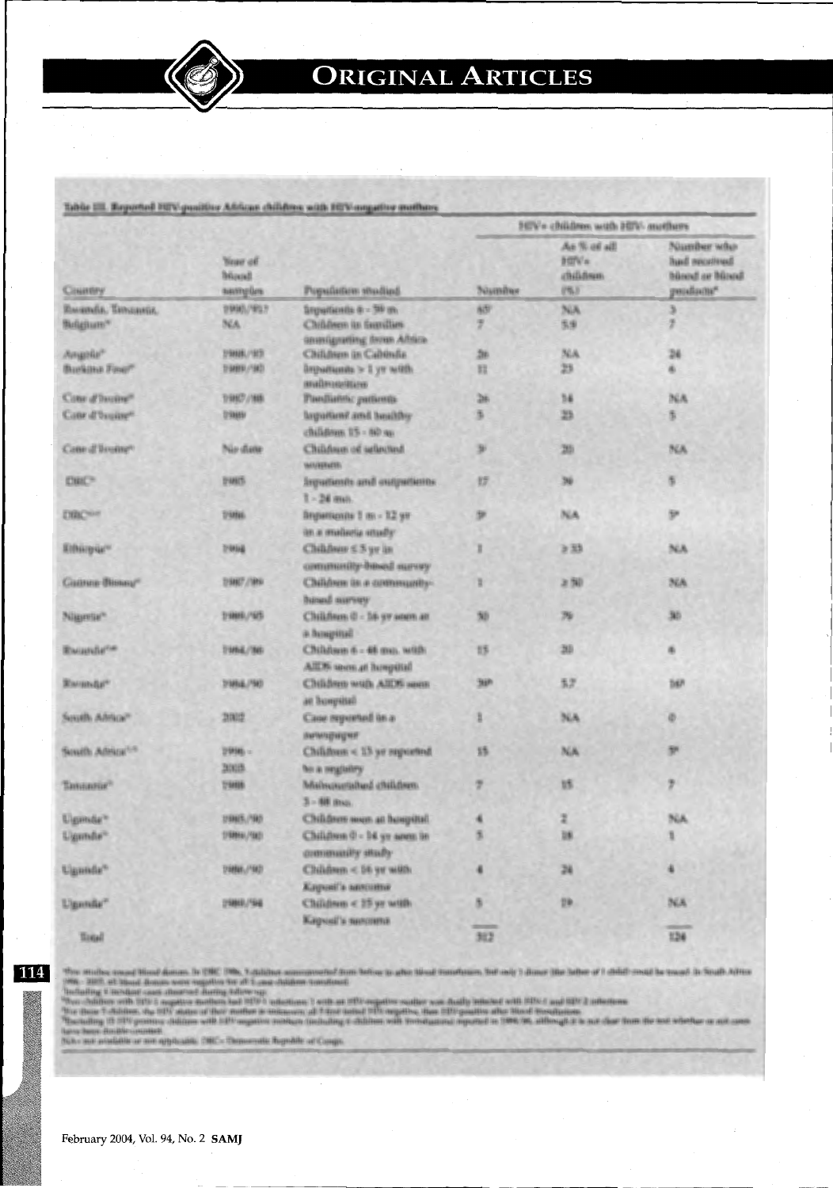|                            |                                             |                                                         |                     | HIV» children with HIV-mothers                     |                                                            |
|----------------------------|---------------------------------------------|---------------------------------------------------------|---------------------|----------------------------------------------------|------------------------------------------------------------|
| Country                    | <b>Near of</b><br><b>Bürgell</b><br>samples | Population studied                                      | <b>Number</b>       | As % of all<br><b>BITWA</b><br>«Billiflours<br>(%) | Namber who<br>had receitued<br>bland or bland<br>genulizm? |
| Russels, Tanzasia.         | 199901/907                                  | Separticula 6 - 50 m.                                   | 637                 | NA                                                 |                                                            |
| Belgium*                   | NA                                          | Children in families<br>Governigmetting ferron Affrica- | 7                   | 5.9                                                | y                                                          |
| Angele <sup>r</sup>        | 29888,/973                                  | Children in Cabinda                                     | 26                  | NA                                                 | 24                                                         |
| Burkina Fine?              | (987), 499941                               | Drepartiumits > 1 yr with.<br>ныйнимин.                 | 踩                   | 25                                                 | ۰                                                          |
| Conr d'Inoine"             | 19807/188                                   | Pandiatric patterns                                     | 26                  | 34                                                 | <b>INGA</b>                                                |
| Cate d'Isuire*             | 09869                                       | legationi and bookby<br>children 15 - 60 m              | 5                   | 25                                                 | 5                                                          |
| Cane d'Issano <sup>n</sup> | Nio diete                                   | Children of selected<br><b>MAGNETIC</b>                 | ×                   | 26                                                 | <b>BEA</b>                                                 |
| <b>DRC®</b>                | DWG.                                        | Imputients and outputients<br>$T = 24$ man.             | ザ                   | 36                                                 | s.                                                         |
| DRC <sup>or</sup>          | Distan.                                     | Brigailliants 1 ns - 12 yr<br>an a malaria smally       | ÷                   | NA                                                 | p.                                                         |
| Kilbüzgür"                 | 2/8NH2                                      | Children ≤ 5 yr in<br>community-based survey            | r                   | ≥动                                                 | NA.                                                        |
| Cannee Bissau"             | D9867/1899                                  | Children in a community-<br>hasad survey                | r                   | 上国                                                 | NA                                                         |
| Nigerie"                   | 21009/165                                   | Children 0 - 16 yr seen at<br>а Ванризей                | 50                  | 79                                                 | 30                                                         |
| <b>Rausslette</b>          | T1856/361                                   | Children 6 - 48 mm. with<br>AIDS worn at honpital       | 15                  | 30                                                 | ۰                                                          |
| Ramada"                    | 3186E/583                                   | Children with AIDS seen<br>an hompitteli                | 3HP                 | 52                                                 | THAT                                                       |
| South Africa"              | 28002                                       | Case repented in a<br>активерация                       | ã                   | NA                                                 | Ø.                                                         |
| South Abics <sup>129</sup> | 2998 =<br><b>BINIS</b>                      | Children < 15 yr superiod<br>fer a registry             | 詩                   | NA                                                 | P.                                                         |
| Tannannie?                 | 7988                                        | Mislmourished children.<br>3 - 88 пол.                  | ÷                   | <b>us</b>                                          | y                                                          |
| Ugande"                    | USNEL/SRD.                                  | Children som at hospital                                |                     | z                                                  | NA                                                         |
| Ugmte <sup>-</sup>         | 198991/983                                  | Children 0 - 14 yr seem in<br>community study           | в                   | 38                                                 |                                                            |
| Ugande"                    | D18641,/15KD                                | Children < 56 yr with<br>Клучні'ь мисшим                | ٠                   | 24                                                 |                                                            |
| Uganda"                    | 2480/546                                    | Children < 15 yr with<br>Карові'я явлення               | s<br><b>STARTED</b> | 19 <sub>1</sub>                                    | <b>NA</b>                                                  |
| W.                         |                                             |                                                         | 84%                 |                                                    | $\frac{1}{124}$                                            |

114

The studies was<br>of final dense were equivalent in the film assumes in form before it after the<br>of tunching to help and it is a set of the set of the set of the set of<br>the suit of this set of the set of the set of the set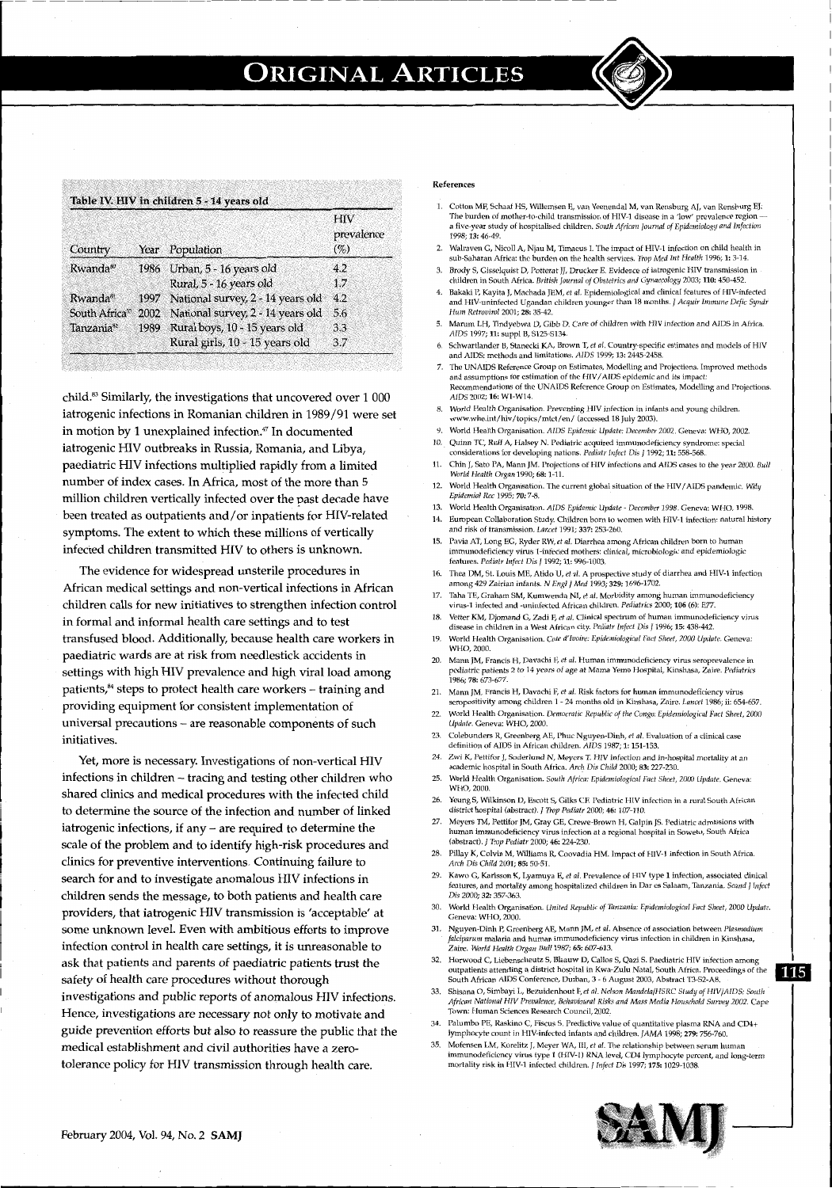| Country                    | Year | Population                             | <b>HIV</b><br>prevalence<br>$(\%)$ |  |
|----------------------------|------|----------------------------------------|------------------------------------|--|
| Rwanda <sup>so</sup>       |      | 1986 Urban, 5 - 16 years old           | 4.2                                |  |
|                            |      | Rural, 5 - 16 years old                | 1.7                                |  |
| Rwanda <sup>81</sup>       | 1997 | National survey, 2 - 14 years old      | 4.2                                |  |
| South Africa <sup>33</sup> |      | 2002 National survey, 2 - 14 years old | 5.6                                |  |
| Tanzania <sup>82</sup>     | 1989 | Rural boys, 10 - 15 years old          | 3.3                                |  |
|                            |      | Rural girls, 10 - 15 years old         | 3.7                                |  |

child.83 Similarly, the investigations that uncovered over 1 000 iatrogenic infections in Romanian children in 1989/91 were set in motion by 1 unexplained infection." In documented iatrogenic HIV outbreaks in Russia, Romania, and Libya, paediatric HIV infections multiplied rapidly from a limited number of index cases. In Africa, most of the more than 5 million children vertically infected over the past decade have been treated as outpatients and/ or inpatients for HIV-related symptoms. The extent to which these millions of vertically infected children transmitted HIV to others is unknown.

The evidence for widespread unsterile procedures in African medical settings and non-vertical infections in African children calls for new initiatives to strengthen infection control in formal and informal health care settings and to test transfused blood. Additionally, because health care workers in paediatric wards are at risk from needlestick accidents in settings with high HIV prevalence and high viral load among patients,<sup>84</sup> steps to protect health care workers - training and providing equipment for consistent implementation of universal precautions - are reasonable components of such initiatives.

Yet, more is necessary. Investigations of non-vertical HIV infections in children - tracing and testing other children who shared clinics and medical procedures with the infected child to determine the source of the infection and number of linked iatrogenic infections, if any  $-$  are required to determine the scale of the problem and to identify high-risk procedures and clinics for preventive interventions. Continuing failure *to*  search for and to investigate anomalous HIV infections in children sends the message, to both patients and health care providers, that iatrogenic HIV transmission is 'acceptable' at some unknown level. Even with ambitious efforts to improve infection control in health care settings, it is unreasonable to ask that patients and parents of paediatric patients trust the safety of health care procedures without thorough investigations and public reports of anomalous HIV infections. Hence, investigations are necessary not only to motivate and guide prevention efforts but also to reassure the public that the medical establishment and civil authorities have a zerotolerance policy for HIV transmission through health care.

#### References

1. Cotton MF, Schaaf HS, Willemsen E, van Veenendal M, van Rensburg AJ, van Rensburg EJ; The burden of mother-to-child transmission of HIV-1 disease in a 'low' prevalence region a five-year study of hospitalised children. *South Africarl journal of Epidemiology and Infection*  1998; 13:46-49,

--------1

- 2. Walraven G, Nicoll A, Njau M, Timaeus I. The impact of HIV-1 infection on child health in sub-Saharan Africa: the burden on the health services. *Trap Med Int Health* 1996; 1: 3-14.
- 3. Brody S, Gissdquist D, *Potterat* JJ, Drucker E. Evidence of iatrogenic HIV transmission in children in South Africa. *British Journal of Obstetrics and Gynaecology* 2003; 110: 450-452.
- 4. Bakakı Y, Kayıta J, Machada JEM, et al. Epidemiological and clinical reatures of FIIV-infected<br>and HIV-uninfected Ugandan children younger than 18 months. J Acquir Immune Defic Syndr<br>Hum Retrovirol 2001; 28: 35-42.
- 5. Marum LH, Tindyebwa D, Gibb D. Care of children with HlV infection and AlDS in Africa. *AIDS* 1997; 11: supp1 B, S125-S134.
- 6. Schwartlander B, Stanecki KA, Brown T, *et al.* Country-specific estimates and models of HIV and AIDS; methods and limitations. *AIDS* 1999; 13: 2445~2458.
- 7. The UNAIDS Reference Group on Estimates, Modelling and Projections. Improved methods and assumptions for estimation of the HIV/AIDS epidemic and its impact: Recommendations of the UN AIDS Reference Group on Estimates, Modelling and Projections. *AIDS* 2002; 16: W1-W14.
- *8. World* Health Organisation. Preventing HIV infection in infants and young children. www.who.int/hiv/topics/mtct/en/ (accessed 18 July 2003).
- 9. World Health Organisation. *AIDS Epidemic Update: December 2002.* Geneva: WHO, 2002. 10. Quinn TC, Ruff A, Halsey N. Pediatric acquired immunodeficiency syndrome: special
- considerations for developing nations. *Pediatr Infect* Dis J 1992; 11:558-568. 11. Chin J, Sato PA, Mann JM. Projections of HIV infections and AIDS cases to the year *2000. Bull World Health Organ* 1990; 68:1-11.
- 12. World Health Organisation. The current global situation of the HIV *I* AIDS pandemic. *Wkly Epidemiol Rec* 1995; *70:7-8.*
- 13. World Health Organisation. *AIDS Epidemic Update- December 1998.* Geneva: WHO, 1998.
- 14. European Collaboration Shtdy. Children born to women with HlV-1 infection: natural history and risk of transmission. *Lancet* 1991; 337: 253-260.
- 15. Pavia AT, Long EG, Ryder RW, *et al.* Diarrhea among African children born to human immunodeficiency virus 1-infected mothers: clinical, microbiologic and epidemiologic features. *Pediatr Infect Dis* J 1992; 11:996-1003.
- 16. Thea DM, St. Louis ME, Atido U, *et al.* A prospective study of diarrhea and HIV-1 infection among429 Zairian infants. *N EnglJ Med* 1993; *329:* 1696-1702.
- 17. Taha TE, Graham SM, Kumwenda Nl, *et al.* Morbidity among human immunodeficiency virus-1 infected and -uninfected African children. *Pediatrics* 2000; 106 (6): E77.
- 18. Vetter KM, Djomand G, Zadi F, et al. Clinical spectrum of human immunodeficiency virus disease in children in a West African city. *Pediatr Infect* Dis J 1996; 15: 438-442. 19. World Health Organisation. *Cote d'Ivoire: Epidemiological Fact Sheet, 2000 Update.* Geneva:
- WHO, 2000. 20. Mann JM, Francis H, Davachi F, et al. Human immunodeficiency virus seroprevalence in
- pediatric patients 2 to 14 years of age at Mama Yemo Hospital, Kinshasa, Zaire. *Pediatrics* <sub>.</sub><br>1986: 78: 673-677.
- 21. Mann JM, Francis H, Davachi F, *et al.* Risk factors for human immunodeficiency virus seropositivity among children 1-24 months old in Kinshasa, Zaire. *Lancet* 1986; ii: 654-657.
- 22. World Health Organisation. *Democratic Republic of the Congo: Epidemiological Fact Sheet,* 2000 *Update.* Geneva: WHO, 2000.
- 23. Colebunders R, Greenberg AE, Phuc Nguyen~Dinh, *et al.* Evaluation of a clinical case definition of AIDS in African children. AIDS 1987; 1:151-153.
- Zwi K, Pettifor J, Soderlund N, Meyers T. HIV infection and in-hospital mortality at an academic hospital in South Africa. Arch Dis Child 2000; 83: 227-230.
- 25. World Health Organisation. *South Africa: Epidemiological Fact Sheet, 2000 Update.* Geneva: WHO, 2000.
- 26. Yeung S, Wilkinson D, Escott S, Gilks CF. Pediatric HIV infection in a rural South Afric district hospital (abstract). *J Trop Pediatr* 2000; 46: 107-110.
- 27. Meyers TM, Pettifor JM, Gray GE, Crewe~ Brown H, Galpin JS. Pediatric admissions with human immunodeficiency virus infection at a regional hospital in Soweto, South Africa (abstract). J *Trap Pediatr* 2000; 46: 224-230.
- 28. Pillay K, Colvin M, Williams R, Coovadia HM. Impact of HIV-1 infection in South Africa. *Arch Dis Child* 2001; 85: 50-51.
- 29. Kawo G, Karlsson K, Lyamuya E, *et al.* Prevalence of HIV type 1 infection, associated clinical features, and mortality among hospitalized children in Dares Salaam, Tanzania. *Scand* J *Infect Dis* 2000; 32: 357-363.
- 30. World Health Organisation. *United Republic of Tanzania: Epidemiological Fact Sheet,* 2000 *Update.*  Geneva: WHO, 2000.
- 31. Nguyen-Dinh P, Greenberg AE, Mann JM, *et al.* Absence of association between *Plasmodium falciparum* malaria and human immunodeficiency virus infection in children in Kinshasa, *Zaire. World Health Organ Bull1987; 65:607-613.*
- 32. Horwood C, Liebenscheutz S, Blaauw D, Callos S, Qazi S. Paediatric HIV infection among outpatients attending a district hospital in Kwa-Zulu Natal, South Africa. Proceedings of the .n=l South African AIDS Conference, Durban, 3- <sup>6</sup>August 2003, Abstract T3-S2-A8. *.....:.*
- 33. Shisana 0, Simbayi L, Bezuidenhout F, *et al. Nelson Mandela/HSRC Study of HIV/AIDS: South African National HIV Prevalence, Behavioural Risks and Mass Media Household Survey 2002.* Cape Town: Human Sciences Research Council, 2002.
- 34. Palumbo PE, Raskino C, Fiscus S. Predictive value of quantitative plasma RNA and CD4+ lymphocyte count in HIV-infected infants and children. *JAMA* 1998; 279: 756-760.
- 35. Mofenscn LM, Korelitz J, Meyer WA, III, *et al.* The relationship between serum human immunodeficiency virus type 1 (HIV-1) RNA level, CD41ymphocyte perc-ent, and long-term mortality risk in HIV-1 infected children. f *Infect Dis* 1997; 175: 1029~1038.